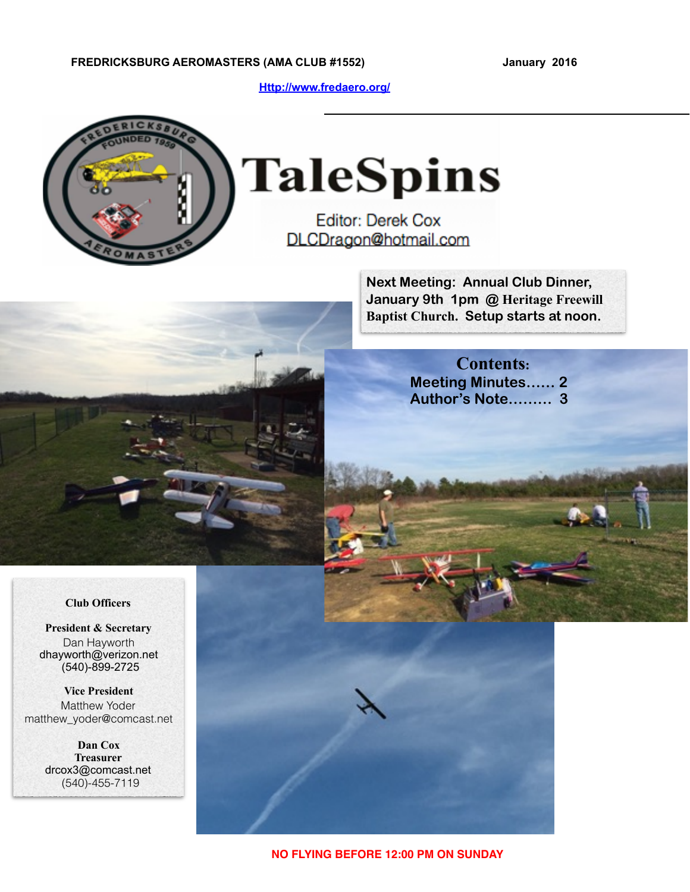**[Http://www.fredaero.org/](http://www.fredaero.org/)**



# **TaleSpins**

**Editor: Derek Cox** DLCDragon@hotmail.com

> **Next Meeting: Annual Club Dinner, January 9th 1pm @ Heritage Freewill Baptist Church. Setup starts at noon.**

> > **Contents: Meeting Minutes…… 2 Author's Note……… 3**

#### **Club Officers**

**President & Secretary** Dan Hayworth dhayworth@verizon.net (540)-899-2725

**Vice President** Matthew Yoder matthew\_yoder@comcast.net

> **Dan Cox Treasurer** drcox3@comcast.net (540)-455-7119



**NO FLYING BEFORE 12:00 PM ON SUNDAY**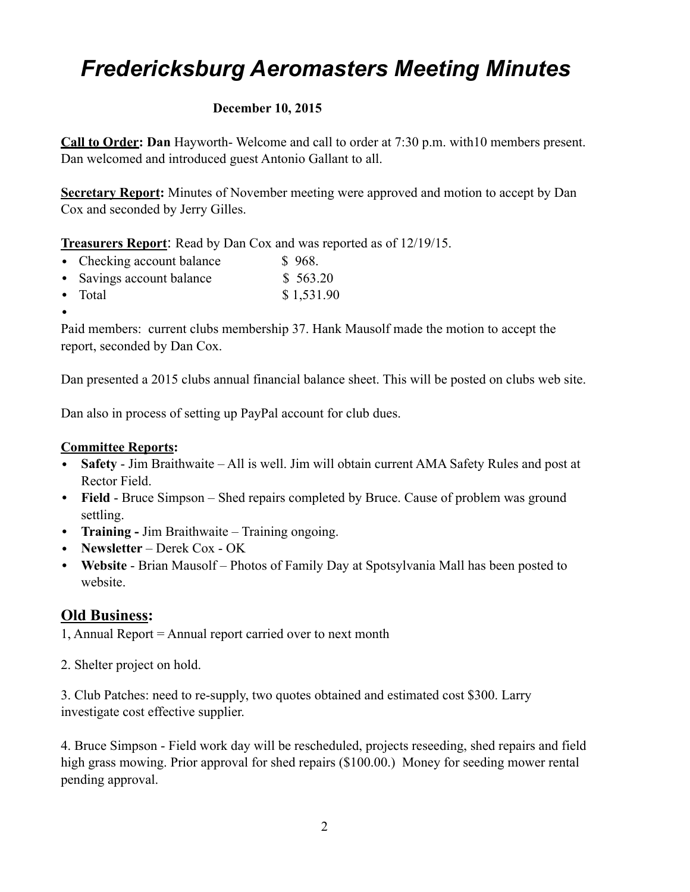# *Fredericksburg Aeromasters Meeting Minutes*

### **December 10, 2015**

**Call to Order: Dan** Hayworth- Welcome and call to order at 7:30 p.m. with10 members present. Dan welcomed and introduced guest Antonio Gallant to all.

**Secretary Report:** Minutes of November meeting were approved and motion to accept by Dan Cox and seconded by Jerry Gilles.

**Treasurers Report**: Read by Dan Cox and was reported as of 12/19/15.

- Checking account balance \$ 968.
- Savings account balance \$ 563.20
- Total  $$ 1,531.90$
- •

Paid members: current clubs membership 37. Hank Mausolf made the motion to accept the report, seconded by Dan Cox.

Dan presented a 2015 clubs annual financial balance sheet. This will be posted on clubs web site.

Dan also in process of setting up PayPal account for club dues.

#### **Committee Reports:**

- **Safety**  Jim Braithwaite All is well. Jim will obtain current AMA Safety Rules and post at Rector Field.
- **Field** Bruce Simpson Shed repairs completed by Bruce. Cause of problem was ground settling.
- **Training** Jim Braithwaite Training ongoing.
- **Newsletter** Derek Cox OK
- **Website** Brian Mausolf Photos of Family Day at Spotsylvania Mall has been posted to website.

## **Old Business:**

- 1, Annual Report = Annual report carried over to next month
- 2. Shelter project on hold.

3. Club Patches: need to re-supply, two quotes obtained and estimated cost \$300. Larry investigate cost effective supplier.

4. Bruce Simpson - Field work day will be rescheduled, projects reseeding, shed repairs and field high grass mowing. Prior approval for shed repairs (\$100.00.) Money for seeding mower rental pending approval.